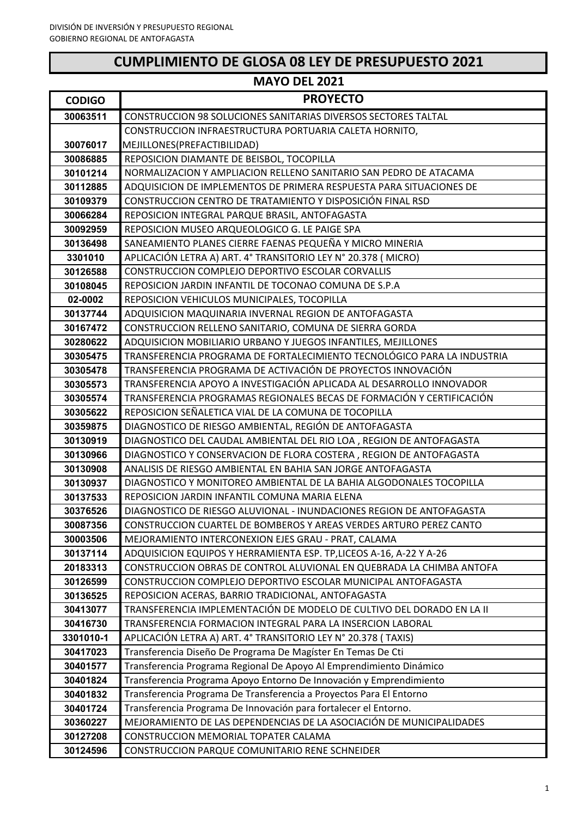# **CUMPLIMIENTO DE GLOSA 08 LEY DE PRESUPUESTO 2021**

| <b>CODIGO</b>        | <b>PROYECTO</b>                                                                                                                       |
|----------------------|---------------------------------------------------------------------------------------------------------------------------------------|
| 30063511             | <b>CONSTRUCCION 98 SOLUCIONES SANITARIAS DIVERSOS SECTORES TALTAL</b>                                                                 |
|                      | CONSTRUCCION INFRAESTRUCTURA PORTUARIA CALETA HORNITO,                                                                                |
| 30076017             | MEJILLONES(PREFACTIBILIDAD)                                                                                                           |
| 30086885             | REPOSICION DIAMANTE DE BEISBOL, TOCOPILLA                                                                                             |
| 30101214             | NORMALIZACION Y AMPLIACION RELLENO SANITARIO SAN PEDRO DE ATACAMA                                                                     |
| 30112885             | ADQUISICION DE IMPLEMENTOS DE PRIMERA RESPUESTA PARA SITUACIONES DE                                                                   |
| 30109379             | CONSTRUCCION CENTRO DE TRATAMIENTO Y DISPOSICIÓN FINAL RSD                                                                            |
| 30066284             | REPOSICION INTEGRAL PARQUE BRASIL, ANTOFAGASTA                                                                                        |
| 30092959             | REPOSICION MUSEO ARQUEOLOGICO G. LE PAIGE SPA                                                                                         |
| 30136498             | SANEAMIENTO PLANES CIERRE FAENAS PEQUEÑA Y MICRO MINERIA                                                                              |
| 3301010              | APLICACIÓN LETRA A) ART. 4° TRANSITORIO LEY N° 20.378 (MICRO)                                                                         |
| 30126588             | CONSTRUCCION COMPLEJO DEPORTIVO ESCOLAR CORVALLIS                                                                                     |
| 30108045             | REPOSICION JARDIN INFANTIL DE TOCONAO COMUNA DE S.P.A                                                                                 |
| 02-0002              | REPOSICION VEHICULOS MUNICIPALES, TOCOPILLA                                                                                           |
| 30137744             | ADQUISICION MAQUINARIA INVERNAL REGION DE ANTOFAGASTA                                                                                 |
| 30167472             | CONSTRUCCION RELLENO SANITARIO, COMUNA DE SIERRA GORDA                                                                                |
| 30280622             | ADQUISICION MOBILIARIO URBANO Y JUEGOS INFANTILES, MEJILLONES                                                                         |
| 30305475             | TRANSFERENCIA PROGRAMA DE FORTALECIMIENTO TECNOLÓGICO PARA LA INDUSTRIA                                                               |
| 30305478             | TRANSFERENCIA PROGRAMA DE ACTIVACIÓN DE PROYECTOS INNOVACIÓN                                                                          |
| 30305573             | TRANSFERENCIA APOYO A INVESTIGACIÓN APLICADA AL DESARROLLO INNOVADOR                                                                  |
| 30305574             | TRANSFERENCIA PROGRAMAS REGIONALES BECAS DE FORMACIÓN Y CERTIFICACIÓN                                                                 |
| 30305622             | REPOSICION SEÑALETICA VIAL DE LA COMUNA DE TOCOPILLA                                                                                  |
| 30359875             | DIAGNOSTICO DE RIESGO AMBIENTAL, REGIÓN DE ANTOFAGASTA                                                                                |
| 30130919             | DIAGNOSTICO DEL CAUDAL AMBIENTAL DEL RIO LOA, REGION DE ANTOFAGASTA                                                                   |
| 30130966             | DIAGNOSTICO Y CONSERVACION DE FLORA COSTERA, REGION DE ANTOFAGASTA                                                                    |
| 30130908             | ANALISIS DE RIESGO AMBIENTAL EN BAHIA SAN JORGE ANTOFAGASTA                                                                           |
| 30130937             | DIAGNOSTICO Y MONITOREO AMBIENTAL DE LA BAHIA ALGODONALES TOCOPILLA                                                                   |
| 30137533             | REPOSICION JARDIN INFANTIL COMUNA MARIA ELENA                                                                                         |
| 30376526             | DIAGNOSTICO DE RIESGO ALUVIONAL - INUNDACIONES REGION DE ANTOFAGASTA                                                                  |
| 30087356             | CONSTRUCCION CUARTEL DE BOMBEROS Y AREAS VERDES ARTURO PEREZ CANTO                                                                    |
| 30003506             | MEJORAMIENTO INTERCONEXION EJES GRAU - PRAT, CALAMA                                                                                   |
| 30137114             | ADQUISICION EQUIPOS Y HERRAMIENTA ESP. TP, LICEOS A-16, A-22 Y A-26                                                                   |
| 20183313             | CONSTRUCCION OBRAS DE CONTROL ALUVIONAL EN QUEBRADA LA CHIMBA ANTOFA<br>CONSTRUCCION COMPLEJO DEPORTIVO ESCOLAR MUNICIPAL ANTOFAGASTA |
| 30126599             | REPOSICION ACERAS, BARRIO TRADICIONAL, ANTOFAGASTA                                                                                    |
| 30136525<br>30413077 | TRANSFERENCIA IMPLEMENTACIÓN DE MODELO DE CULTIVO DEL DORADO EN LA II                                                                 |
| 30416730             | TRANSFERENCIA FORMACION INTEGRAL PARA LA INSERCION LABORAL                                                                            |
| 3301010-1            | APLICACIÓN LETRA A) ART. 4° TRANSITORIO LEY N° 20.378 (TAXIS)                                                                         |
| 30417023             | Transferencia Diseño De Programa De Magíster En Temas De Cti                                                                          |
| 30401577             | Transferencia Programa Regional De Apoyo Al Emprendimiento Dinámico                                                                   |
| 30401824             | Transferencia Programa Apoyo Entorno De Innovación y Emprendimiento                                                                   |
| 30401832             | Transferencia Programa De Transferencia a Proyectos Para El Entorno                                                                   |
| 30401724             | Transferencia Programa De Innovación para fortalecer el Entorno.                                                                      |
| 30360227             | MEJORAMIENTO DE LAS DEPENDENCIAS DE LA ASOCIACIÓN DE MUNICIPALIDADES                                                                  |
| 30127208             | CONSTRUCCION MEMORIAL TOPATER CALAMA                                                                                                  |
| 30124596             | CONSTRUCCION PARQUE COMUNITARIO RENE SCHNEIDER                                                                                        |
|                      |                                                                                                                                       |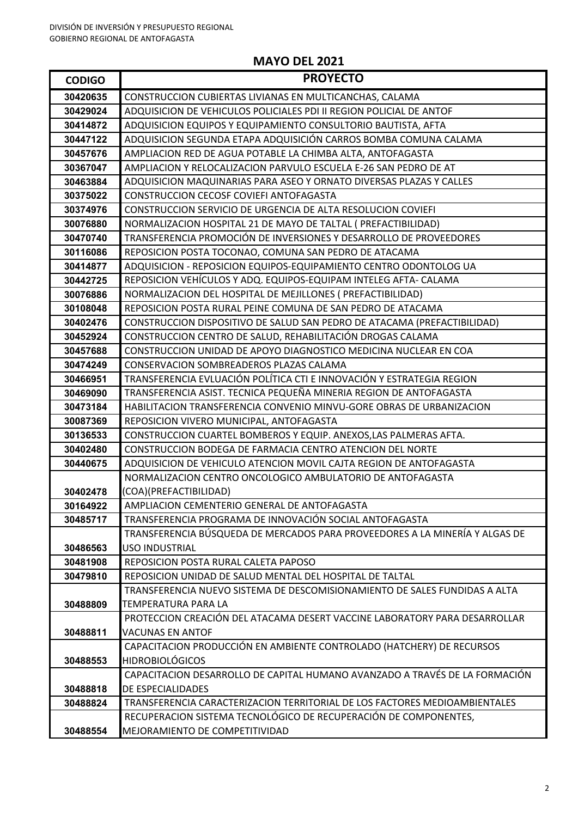| <b>CODIGO</b> | <b>PROYECTO</b>                                                                                  |
|---------------|--------------------------------------------------------------------------------------------------|
| 30420635      | CONSTRUCCION CUBIERTAS LIVIANAS EN MULTICANCHAS, CALAMA                                          |
| 30429024      | ADQUISICION DE VEHICULOS POLICIALES PDI II REGION POLICIAL DE ANTOF                              |
| 30414872      | ADQUISICION EQUIPOS Y EQUIPAMIENTO CONSULTORIO BAUTISTA, AFTA                                    |
| 30447122      | ADQUISICION SEGUNDA ETAPA ADQUISICIÓN CARROS BOMBA COMUNA CALAMA                                 |
| 30457676      | AMPLIACION RED DE AGUA POTABLE LA CHIMBA ALTA, ANTOFAGASTA                                       |
| 30367047      | AMPLIACION Y RELOCALIZACION PARVULO ESCUELA E-26 SAN PEDRO DE AT                                 |
| 30463884      | ADQUISICION MAQUINARIAS PARA ASEO Y ORNATO DIVERSAS PLAZAS Y CALLES                              |
| 30375022      | CONSTRUCCION CECOSF COVIEFI ANTOFAGASTA                                                          |
| 30374976      | CONSTRUCCION SERVICIO DE URGENCIA DE ALTA RESOLUCION COVIEFI                                     |
| 30076880      | NORMALIZACION HOSPITAL 21 DE MAYO DE TALTAL ( PREFACTIBILIDAD)                                   |
| 30470740      | TRANSFERENCIA PROMOCIÓN DE INVERSIONES Y DESARROLLO DE PROVEEDORES                               |
| 30116086      | REPOSICION POSTA TOCONAO, COMUNA SAN PEDRO DE ATACAMA                                            |
| 30414877      | ADQUISICION - REPOSICION EQUIPOS-EQUIPAMIENTO CENTRO ODONTOLOG UA                                |
| 30442725      | REPOSICION VEHÍCULOS Y ADQ. EQUIPOS-EQUIPAM INTELEG AFTA- CALAMA                                 |
| 30076886      | NORMALIZACION DEL HOSPITAL DE MEJILLONES (PREFACTIBILIDAD)                                       |
| 30108048      | REPOSICION POSTA RURAL PEINE COMUNA DE SAN PEDRO DE ATACAMA                                      |
| 30402476      | CONSTRUCCION DISPOSITIVO DE SALUD SAN PEDRO DE ATACAMA (PREFACTIBILIDAD)                         |
| 30452924      | CONSTRUCCION CENTRO DE SALUD, REHABILITACIÓN DROGAS CALAMA                                       |
| 30457688      | CONSTRUCCION UNIDAD DE APOYO DIAGNOSTICO MEDICINA NUCLEAR EN COA                                 |
| 30474249      | CONSERVACION SOMBREADEROS PLAZAS CALAMA                                                          |
| 30466951      | TRANSFERENCIA EVLUACIÓN POLÍTICA CTI E INNOVACIÓN Y ESTRATEGIA REGION                            |
| 30469090      | TRANSFERENCIA ASIST. TECNICA PEQUEÑA MINERIA REGION DE ANTOFAGASTA                               |
| 30473184      | HABILITACION TRANSFERENCIA CONVENIO MINVU-GORE OBRAS DE URBANIZACION                             |
| 30087369      | REPOSICION VIVERO MUNICIPAL, ANTOFAGASTA                                                         |
| 30136533      | CONSTRUCCION CUARTEL BOMBEROS Y EQUIP. ANEXOS, LAS PALMERAS AFTA.                                |
| 30402480      | CONSTRUCCION BODEGA DE FARMACIA CENTRO ATENCION DEL NORTE                                        |
| 30440675      | ADQUISICION DE VEHICULO ATENCION MOVIL CAJTA REGION DE ANTOFAGASTA                               |
|               | NORMALIZACION CENTRO ONCOLOGICO AMBULATORIO DE ANTOFAGASTA                                       |
| 30402478      | (COA)(PREFACTIBILIDAD)                                                                           |
| 30164922      | AMPLIACION CEMENTERIO GENERAL DE ANTOFAGASTA                                                     |
| 30485717      | TRANSFERENCIA PROGRAMA DE INNOVACIÓN SOCIAL ANTOFAGASTA                                          |
|               | TRANSFERENCIA BÚSQUEDA DE MERCADOS PARA PROVEEDORES A LA MINERÍA Y ALGAS DE                      |
| 30486563      | USO INDUSTRIAL                                                                                   |
| 30481908      | REPOSICION POSTA RURAL CALETA PAPOSO                                                             |
| 30479810      | REPOSICION UNIDAD DE SALUD MENTAL DEL HOSPITAL DE TALTAL                                         |
|               | TRANSFERENCIA NUEVO SISTEMA DE DESCOMISIONAMIENTO DE SALES FUNDIDAS A ALTA                       |
| 30488809      | TEMPERATURA PARA LA                                                                              |
|               | PROTECCION CREACIÓN DEL ATACAMA DESERT VACCINE LABORATORY PARA DESARROLLAR                       |
| 30488811      | <b>VACUNAS EN ANTOF</b><br>CAPACITACION PRODUCCIÓN EN AMBIENTE CONTROLADO (HATCHERY) DE RECURSOS |
| 30488553      | <b>HIDROBIOLÓGICOS</b>                                                                           |
|               | CAPACITACION DESARROLLO DE CAPITAL HUMANO AVANZADO A TRAVÉS DE LA FORMACIÓN                      |
| 30488818      | DE ESPECIALIDADES                                                                                |
| 30488824      | TRANSFERENCIA CARACTERIZACION TERRITORIAL DE LOS FACTORES MEDIOAMBIENTALES                       |
|               | RECUPERACION SISTEMA TECNOLÓGICO DE RECUPERACIÓN DE COMPONENTES,                                 |
| 30488554      | MEJORAMIENTO DE COMPETITIVIDAD                                                                   |
|               |                                                                                                  |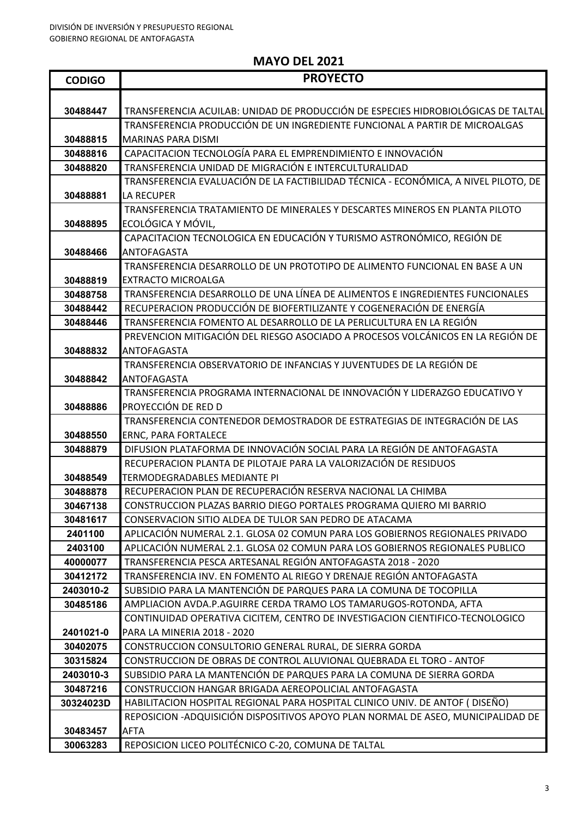F

| <b>CODIGO</b>        | <b>PROYECTO</b>                                                                                |
|----------------------|------------------------------------------------------------------------------------------------|
|                      |                                                                                                |
| 30488447             | TRANSFERENCIA ACUILAB: UNIDAD DE PRODUCCIÓN DE ESPECIES HIDROBIOLÓGICAS DE TALTAL              |
|                      | TRANSFERENCIA PRODUCCIÓN DE UN INGREDIENTE FUNCIONAL A PARTIR DE MICROALGAS                    |
| 30488815             | <b>MARINAS PARA DISMI</b>                                                                      |
| 30488816             | CAPACITACION TECNOLOGÍA PARA EL EMPRENDIMIENTO E INNOVACIÓN                                    |
| 30488820             | TRANSFERENCIA UNIDAD DE MIGRACIÓN E INTERCULTURALIDAD                                          |
|                      | TRANSFERENCIA EVALUACIÓN DE LA FACTIBILIDAD TÉCNICA - ECONÓMICA, A NIVEL PILOTO, DE            |
| 30488881             | LA RECUPER                                                                                     |
|                      | TRANSFERENCIA TRATAMIENTO DE MINERALES Y DESCARTES MINEROS EN PLANTA PILOTO                    |
| 30488895             | ECOLÓGICA Y MÓVIL,                                                                             |
|                      | CAPACITACION TECNOLOGICA EN EDUCACIÓN Y TURISMO ASTRONÓMICO, REGIÓN DE                         |
| 30488466             | <b>ANTOFAGASTA</b>                                                                             |
|                      | TRANSFERENCIA DESARROLLO DE UN PROTOTIPO DE ALIMENTO FUNCIONAL EN BASE A UN                    |
| 30488819             | <b>EXTRACTO MICROALGA</b>                                                                      |
| 30488758             | TRANSFERENCIA DESARROLLO DE UNA LÍNEA DE ALIMENTOS E INGREDIENTES FUNCIONALES                  |
| 30488442             | RECUPERACION PRODUCCIÓN DE BIOFERTILIZANTE Y COGENERACIÓN DE ENERGÍA                           |
| 30488446             | TRANSFERENCIA FOMENTO AL DESARROLLO DE LA PERLICULTURA EN LA REGIÓN                            |
|                      | PREVENCION MITIGACIÓN DEL RIESGO ASOCIADO A PROCESOS VOLCÁNICOS EN LA REGIÓN DE                |
| 30488832             | <b>ANTOFAGASTA</b>                                                                             |
|                      | TRANSFERENCIA OBSERVATORIO DE INFANCIAS Y JUVENTUDES DE LA REGIÓN DE                           |
| 30488842             | <b>ANTOFAGASTA</b>                                                                             |
|                      | TRANSFERENCIA PROGRAMA INTERNACIONAL DE INNOVACIÓN Y LIDERAZGO EDUCATIVO Y                     |
| 30488886             | PROYECCIÓN DE RED D                                                                            |
|                      | TRANSFERENCIA CONTENEDOR DEMOSTRADOR DE ESTRATEGIAS DE INTEGRACIÓN DE LAS                      |
| 30488550<br>30488879 | ERNC, PARA FORTALECE<br>DIFUSION PLATAFORMA DE INNOVACIÓN SOCIAL PARA LA REGIÓN DE ANTOFAGASTA |
|                      | RECUPERACION PLANTA DE PILOTAJE PARA LA VALORIZACIÓN DE RESIDUOS                               |
| 30488549             | <b>TERMODEGRADABLES MEDIANTE PI</b>                                                            |
| 30488878             | RECUPERACION PLAN DE RECUPERACIÓN RESERVA NACIONAL LA CHIMBA                                   |
| 30467138             | CONSTRUCCION PLAZAS BARRIO DIEGO PORTALES PROGRAMA QUIERO MI BARRIO                            |
| 30481617             | CONSERVACION SITIO ALDEA DE TULOR SAN PEDRO DE ATACAMA                                         |
| 2401100              | APLICACIÓN NUMERAL 2.1. GLOSA 02 COMUN PARA LOS GOBIERNOS REGIONALES PRIVADO                   |
| 2403100              | APLICACIÓN NUMERAL 2.1. GLOSA 02 COMUN PARA LOS GOBIERNOS REGIONALES PUBLICO                   |
| 40000077             | TRANSFERENCIA PESCA ARTESANAL REGIÓN ANTOFAGASTA 2018 - 2020                                   |
| 30412172             | TRANSFERENCIA INV. EN FOMENTO AL RIEGO Y DRENAJE REGIÓN ANTOFAGASTA                            |
| 2403010-2            | SUBSIDIO PARA LA MANTENCIÓN DE PARQUES PARA LA COMUNA DE TOCOPILLA                             |
| 30485186             | AMPLIACION AVDA.P.AGUIRRE CERDA TRAMO LOS TAMARUGOS-ROTONDA, AFTA                              |
|                      | CONTINUIDAD OPERATIVA CICITEM, CENTRO DE INVESTIGACION CIENTIFICO-TECNOLOGICO                  |
| 2401021-0            | PARA LA MINERIA 2018 - 2020                                                                    |
| 30402075             | CONSTRUCCION CONSULTORIO GENERAL RURAL, DE SIERRA GORDA                                        |
| 30315824             | CONSTRUCCION DE OBRAS DE CONTROL ALUVIONAL QUEBRADA EL TORO - ANTOF                            |
| 2403010-3            | SUBSIDIO PARA LA MANTENCIÓN DE PARQUES PARA LA COMUNA DE SIERRA GORDA                          |
| 30487216             | CONSTRUCCION HANGAR BRIGADA AEREOPOLICIAL ANTOFAGASTA                                          |
| 30324023D            | HABILITACION HOSPITAL REGIONAL PARA HOSPITAL CLINICO UNIV. DE ANTOF ( DISEÑO)                  |
|                      | REPOSICION - ADQUISICIÓN DISPOSITIVOS APOYO PLAN NORMAL DE ASEO, MUNICIPALIDAD DE              |
| 30483457             | AFTA                                                                                           |
| 30063283             | REPOSICION LICEO POLITÉCNICO C-20, COMUNA DE TALTAL                                            |

#### **MAYO DEL 2021**

 $\blacksquare$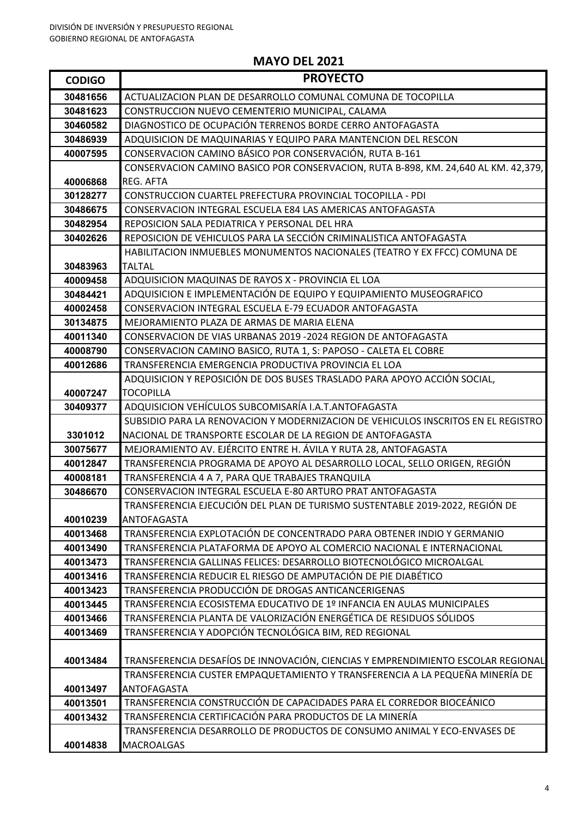| <b>CODIGO</b>        | <b>PROYECTO</b>                                                                                                               |
|----------------------|-------------------------------------------------------------------------------------------------------------------------------|
| 30481656             | ACTUALIZACION PLAN DE DESARROLLO COMUNAL COMUNA DE TOCOPILLA                                                                  |
| 30481623             | CONSTRUCCION NUEVO CEMENTERIO MUNICIPAL, CALAMA                                                                               |
| 30460582             | DIAGNOSTICO DE OCUPACIÓN TERRENOS BORDE CERRO ANTOFAGASTA                                                                     |
| 30486939             | ADQUISICION DE MAQUINARIAS Y EQUIPO PARA MANTENCION DEL RESCON                                                                |
| 40007595             | CONSERVACION CAMINO BÁSICO POR CONSERVACIÓN, RUTA B-161                                                                       |
|                      | CONSERVACION CAMINO BASICO POR CONSERVACION, RUTA B-898, KM. 24,640 AL KM. 42,379,                                            |
| 40006868             | <b>REG. AFTA</b>                                                                                                              |
| 30128277             | CONSTRUCCION CUARTEL PREFECTURA PROVINCIAL TOCOPILLA - PDI                                                                    |
| 30486675             | CONSERVACION INTEGRAL ESCUELA E84 LAS AMERICAS ANTOFAGASTA                                                                    |
| 30482954             | REPOSICION SALA PEDIATRICA Y PERSONAL DEL HRA                                                                                 |
| 30402626             | REPOSICION DE VEHICULOS PARA LA SECCIÓN CRIMINALISTICA ANTOFAGASTA                                                            |
|                      | HABILITACION INMUEBLES MONUMENTOS NACIONALES (TEATRO Y EX FFCC) COMUNA DE                                                     |
| 30483963             | <b>TALTAL</b>                                                                                                                 |
| 40009458             | ADQUISICION MAQUINAS DE RAYOS X - PROVINCIA EL LOA                                                                            |
| 30484421             | ADQUISICION E IMPLEMENTACIÓN DE EQUIPO Y EQUIPAMIENTO MUSEOGRAFICO                                                            |
| 40002458             | CONSERVACION INTEGRAL ESCUELA E-79 ECUADOR ANTOFAGASTA                                                                        |
| 30134875             | MEJORAMIENTO PLAZA DE ARMAS DE MARIA ELENA                                                                                    |
| 40011340             | CONSERVACION DE VIAS URBANAS 2019 -2024 REGION DE ANTOFAGASTA                                                                 |
| 40008790             | CONSERVACION CAMINO BASICO, RUTA 1, S: PAPOSO - CALETA EL COBRE                                                               |
| 40012686             | TRANSFERENCIA EMERGENCIA PRODUCTIVA PROVINCIA EL LOA                                                                          |
|                      | ADQUISICION Y REPOSICIÓN DE DOS BUSES TRASLADO PARA APOYO ACCIÓN SOCIAL,                                                      |
| 40007247             | <b>TOCOPILLA</b>                                                                                                              |
| 30409377             | ADQUISICION VEHÍCULOS SUBCOMISARÍA I.A.T.ANTOFAGASTA                                                                          |
|                      | SUBSIDIO PARA LA RENOVACION Y MODERNIZACION DE VEHICULOS INSCRITOS EN EL REGISTRO                                             |
| 3301012              | NACIONAL DE TRANSPORTE ESCOLAR DE LA REGION DE ANTOFAGASTA                                                                    |
| 30075677             | MEJORAMIENTO AV. EJÉRCITO ENTRE H. ÁVILA Y RUTA 28, ANTOFAGASTA                                                               |
| 40012847<br>40008181 | TRANSFERENCIA PROGRAMA DE APOYO AL DESARROLLO LOCAL, SELLO ORIGEN, REGIÓN<br>TRANSFERENCIA 4 A 7, PARA QUE TRABAJES TRANQUILA |
| 30486670             | CONSERVACION INTEGRAL ESCUELA E-80 ARTURO PRAT ANTOFAGASTA                                                                    |
|                      | TRANSFERENCIA EJECUCIÓN DEL PLAN DE TURISMO SUSTENTABLE 2019-2022, REGIÓN DE                                                  |
| 40010239             | <b>ANTOFAGASTA</b>                                                                                                            |
| 40013468             | TRANSFERENCIA EXPLOTACIÓN DE CONCENTRADO PARA OBTENER INDIO Y GERMANIO                                                        |
| 40013490             | TRANSFERENCIA PLATAFORMA DE APOYO AL COMERCIO NACIONAL E INTERNACIONAL                                                        |
| 40013473             | TRANSFERENCIA GALLINAS FELICES: DESARROLLO BIOTECNOLÓGICO MICROALGAL                                                          |
| 40013416             | TRANSFERENCIA REDUCIR EL RIESGO DE AMPUTACIÓN DE PIE DIABÉTICO                                                                |
| 40013423             | TRANSFERENCIA PRODUCCIÓN DE DROGAS ANTICANCERIGENAS                                                                           |
| 40013445             | TRANSFERENCIA ECOSISTEMA EDUCATIVO DE 1º INFANCIA EN AULAS MUNICIPALES                                                        |
| 40013466             | TRANSFERENCIA PLANTA DE VALORIZACIÓN ENERGÉTICA DE RESIDUOS SÓLIDOS                                                           |
| 40013469             | TRANSFERENCIA Y ADOPCIÓN TECNOLÓGICA BIM, RED REGIONAL                                                                        |
|                      |                                                                                                                               |
| 40013484             | TRANSFERENCIA DESAFÍOS DE INNOVACIÓN, CIENCIAS Y EMPRENDIMIENTO ESCOLAR REGIONAL                                              |
|                      | TRANSFERENCIA CUSTER EMPAQUETAMIENTO Y TRANSFERENCIA A LA PEQUEÑA MINERÍA DE                                                  |
| 40013497             | ANTOFAGASTA                                                                                                                   |
| 40013501             | TRANSFERENCIA CONSTRUCCIÓN DE CAPACIDADES PARA EL CORREDOR BIOCEÁNICO                                                         |
| 40013432             | TRANSFERENCIA CERTIFICACIÓN PARA PRODUCTOS DE LA MINERÍA                                                                      |
|                      | TRANSFERENCIA DESARROLLO DE PRODUCTOS DE CONSUMO ANIMAL Y ECO-ENVASES DE                                                      |
| 40014838             | <b>MACROALGAS</b>                                                                                                             |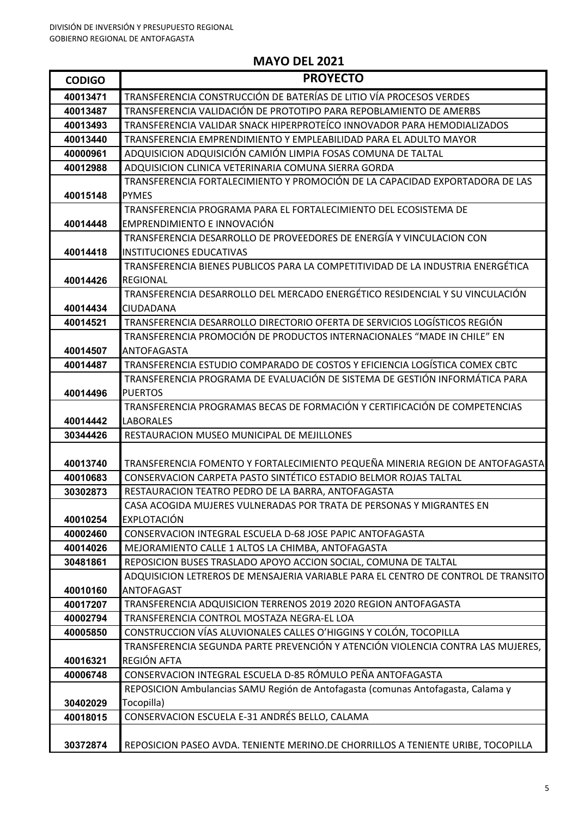| <b>CODIGO</b> | <b>PROYECTO</b>                                                                                                                                            |
|---------------|------------------------------------------------------------------------------------------------------------------------------------------------------------|
| 40013471      | TRANSFERENCIA CONSTRUCCIÓN DE BATERÍAS DE LITIO VÍA PROCESOS VERDES                                                                                        |
| 40013487      | TRANSFERENCIA VALIDACIÓN DE PROTOTIPO PARA REPOBLAMIENTO DE AMERBS                                                                                         |
| 40013493      | TRANSFERENCIA VALIDAR SNACK HIPERPROTEÍCO INNOVADOR PARA HEMODIALIZADOS                                                                                    |
| 40013440      | TRANSFERENCIA EMPRENDIMIENTO Y EMPLEABILIDAD PARA EL ADULTO MAYOR                                                                                          |
| 40000961      | ADQUISICION ADQUISICIÓN CAMIÓN LIMPIA FOSAS COMUNA DE TALTAL                                                                                               |
| 40012988      | ADQUISICION CLINICA VETERINARIA COMUNA SIERRA GORDA                                                                                                        |
|               | TRANSFERENCIA FORTALECIMIENTO Y PROMOCIÓN DE LA CAPACIDAD EXPORTADORA DE LAS                                                                               |
| 40015148      | <b>PYMES</b>                                                                                                                                               |
|               | TRANSFERENCIA PROGRAMA PARA EL FORTALECIMIENTO DEL ECOSISTEMA DE                                                                                           |
| 40014448      | EMPRENDIMIENTO E INNOVACIÓN                                                                                                                                |
|               | TRANSFERENCIA DESARROLLO DE PROVEEDORES DE ENERGÍA Y VINCULACION CON                                                                                       |
| 40014418      | <b>INSTITUCIONES EDUCATIVAS</b>                                                                                                                            |
|               | TRANSFERENCIA BIENES PUBLICOS PARA LA COMPETITIVIDAD DE LA INDUSTRIA ENERGÉTICA                                                                            |
| 40014426      | <b>REGIONAL</b>                                                                                                                                            |
|               | TRANSFERENCIA DESARROLLO DEL MERCADO ENERGÉTICO RESIDENCIAL Y SU VINCULACIÓN                                                                               |
| 40014434      | <b>CIUDADANA</b>                                                                                                                                           |
| 40014521      | TRANSFERENCIA DESARROLLO DIRECTORIO OFERTA DE SERVICIOS LOGÍSTICOS REGIÓN                                                                                  |
|               | TRANSFERENCIA PROMOCIÓN DE PRODUCTOS INTERNACIONALES "MADE IN CHILE" EN                                                                                    |
| 40014507      | ANTOFAGASTA                                                                                                                                                |
| 40014487      | TRANSFERENCIA ESTUDIO COMPARADO DE COSTOS Y EFICIENCIA LOGÍSTICA COMEX CBTC<br>TRANSFERENCIA PROGRAMA DE EVALUACIÓN DE SISTEMA DE GESTIÓN INFORMÁTICA PARA |
| 40014496      | <b>PUERTOS</b>                                                                                                                                             |
|               | TRANSFERENCIA PROGRAMAS BECAS DE FORMACIÓN Y CERTIFICACIÓN DE COMPETENCIAS                                                                                 |
| 40014442      | <b>LABORALES</b>                                                                                                                                           |
| 30344426      | RESTAURACION MUSEO MUNICIPAL DE MEJILLONES                                                                                                                 |
|               |                                                                                                                                                            |
| 40013740      | TRANSFERENCIA FOMENTO Y FORTALECIMIENTO PEQUEÑA MINERIA REGION DE ANTOFAGASTA                                                                              |
| 40010683      | CONSERVACION CARPETA PASTO SINTÉTICO ESTADIO BELMOR ROJAS TALTAL                                                                                           |
| 30302873      | RESTAURACION TEATRO PEDRO DE LA BARRA, ANTOFAGASTA                                                                                                         |
|               | CASA ACOGIDA MUJERES VULNERADAS POR TRATA DE PERSONAS Y MIGRANTES EN                                                                                       |
| 40010254      | <b>EXPLOTACIÓN</b>                                                                                                                                         |
| 40002460      | CONSERVACION INTEGRAL ESCUELA D-68 JOSE PAPIC ANTOFAGASTA                                                                                                  |
| 40014026      | MEJORAMIENTO CALLE 1 ALTOS LA CHIMBA, ANTOFAGASTA                                                                                                          |
| 30481861      | REPOSICION BUSES TRASLADO APOYO ACCION SOCIAL, COMUNA DE TALTAL                                                                                            |
|               | ADQUISICION LETREROS DE MENSAJERIA VARIABLE PARA EL CENTRO DE CONTROL DE TRANSITO                                                                          |
| 40010160      | <b>ANTOFAGAST</b>                                                                                                                                          |
| 40017207      | TRANSFERENCIA ADQUISICION TERRENOS 2019 2020 REGION ANTOFAGASTA                                                                                            |
| 40002794      | TRANSFERENCIA CONTROL MOSTAZA NEGRA-EL LOA                                                                                                                 |
| 40005850      | CONSTRUCCION VÍAS ALUVIONALES CALLES O'HIGGINS Y COLÓN, TOCOPILLA                                                                                          |
|               | TRANSFERENCIA SEGUNDA PARTE PREVENCIÓN Y ATENCIÓN VIOLENCIA CONTRA LAS MUJERES,                                                                            |
| 40016321      | REGIÓN AFTA                                                                                                                                                |
| 40006748      | CONSERVACION INTEGRAL ESCUELA D-85 RÓMULO PEÑA ANTOFAGASTA                                                                                                 |
|               | REPOSICION Ambulancias SAMU Región de Antofagasta (comunas Antofagasta, Calama y                                                                           |
| 30402029      | Tocopilla)                                                                                                                                                 |
| 40018015      | CONSERVACION ESCUELA E-31 ANDRÉS BELLO, CALAMA                                                                                                             |
| 30372874      | REPOSICION PASEO AVDA. TENIENTE MERINO.DE CHORRILLOS A TENIENTE URIBE, TOCOPILLA                                                                           |
|               |                                                                                                                                                            |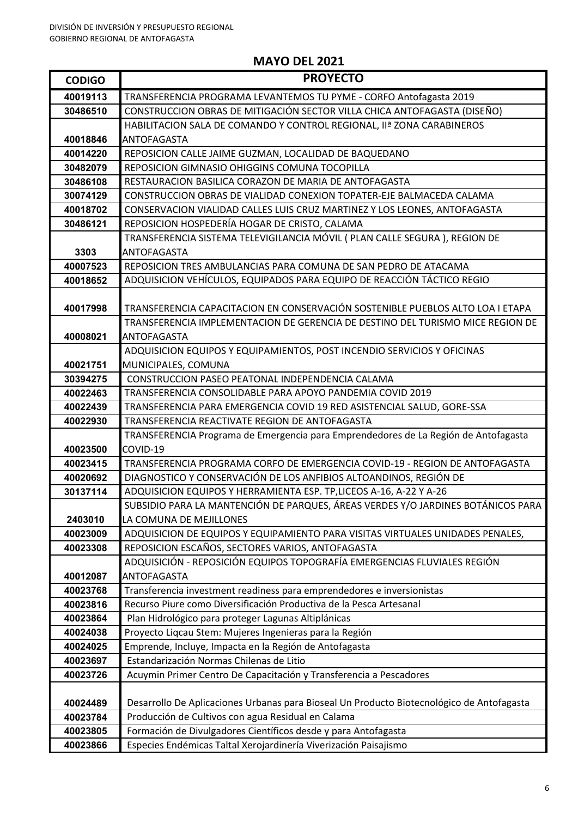| <b>CODIGO</b>        | <b>PROYECTO</b>                                                                                                                               |
|----------------------|-----------------------------------------------------------------------------------------------------------------------------------------------|
| 40019113             | TRANSFERENCIA PROGRAMA LEVANTEMOS TU PYME - CORFO Antofagasta 2019                                                                            |
| 30486510             | CONSTRUCCION OBRAS DE MITIGACIÓN SECTOR VILLA CHICA ANTOFAGASTA (DISEÑO)                                                                      |
|                      | HABILITACION SALA DE COMANDO Y CONTROL REGIONAL, IIª ZONA CARABINEROS                                                                         |
| 40018846             | ANTOFAGASTA                                                                                                                                   |
| 40014220             | REPOSICION CALLE JAIME GUZMAN, LOCALIDAD DE BAQUEDANO                                                                                         |
| 30482079             | REPOSICION GIMNASIO OHIGGINS COMUNA TOCOPILLA                                                                                                 |
| 30486108             | RESTAURACION BASILICA CORAZON DE MARIA DE ANTOFAGASTA                                                                                         |
| 30074129             | CONSTRUCCION OBRAS DE VIALIDAD CONEXION TOPATER-EJE BALMACEDA CALAMA                                                                          |
| 40018702             | CONSERVACION VIALIDAD CALLES LUIS CRUZ MARTINEZ Y LOS LEONES, ANTOFAGASTA                                                                     |
| 30486121             | REPOSICION HOSPEDERÍA HOGAR DE CRISTO, CALAMA                                                                                                 |
|                      | TRANSFERENCIA SISTEMA TELEVIGILANCIA MÓVIL ( PLAN CALLE SEGURA ), REGION DE                                                                   |
| 3303                 | ANTOFAGASTA                                                                                                                                   |
| 40007523             | REPOSICION TRES AMBULANCIAS PARA COMUNA DE SAN PEDRO DE ATACAMA                                                                               |
| 40018652             | ADQUISICION VEHÍCULOS, EQUIPADOS PARA EQUIPO DE REACCIÓN TÁCTICO REGIO                                                                        |
|                      |                                                                                                                                               |
| 40017998             | TRANSFERENCIA CAPACITACION EN CONSERVACIÓN SOSTENIBLE PUEBLOS ALTO LOA I ETAPA                                                                |
|                      | TRANSFERENCIA IMPLEMENTACION DE GERENCIA DE DESTINO DEL TURISMO MICE REGION DE                                                                |
| 40008021             | ANTOFAGASTA                                                                                                                                   |
|                      | ADQUISICION EQUIPOS Y EQUIPAMIENTOS, POST INCENDIO SERVICIOS Y OFICINAS                                                                       |
| 40021751             | MUNICIPALES, COMUNA                                                                                                                           |
| 30394275             | CONSTRUCCION PASEO PEATONAL INDEPENDENCIA CALAMA                                                                                              |
| 40022463             | TRANSFERENCIA CONSOLIDABLE PARA APOYO PANDEMIA COVID 2019                                                                                     |
| 40022439             | TRANSFERENCIA PARA EMERGENCIA COVID 19 RED ASISTENCIAL SALUD, GORE-SSA                                                                        |
| 40022930             | TRANSFERENCIA REACTIVATE REGION DE ANTOFAGASTA                                                                                                |
|                      | TRANSFERENCIA Programa de Emergencia para Emprendedores de La Región de Antofagasta                                                           |
| 40023500             | COVID-19                                                                                                                                      |
| 40023415             | TRANSFERENCIA PROGRAMA CORFO DE EMERGENCIA COVID-19 - REGION DE ANTOFAGASTA                                                                   |
| 40020692             | DIAGNOSTICO Y CONSERVACIÓN DE LOS ANFIBIOS ALTOANDINOS, REGIÓN DE                                                                             |
| 30137114             | ADQUISICION EQUIPOS Y HERRAMIENTA ESP. TP, LICEOS A-16, A-22 Y A-26                                                                           |
|                      | SUBSIDIO PARA LA MANTENCIÓN DE PARQUES, ÁREAS VERDES Y/O JARDINES BOTÁNICOS PARA                                                              |
| 2403010              | LA COMUNA DE MEJILLONES                                                                                                                       |
| 40023009             | ADQUISICION DE EQUIPOS Y EQUIPAMIENTO PARA VISITAS VIRTUALES UNIDADES PENALES,                                                                |
| 40023308             | REPOSICION ESCAÑOS, SECTORES VARIOS, ANTOFAGASTA                                                                                              |
|                      | ADQUISICIÓN - REPOSICIÓN EQUIPOS TOPOGRAFÍA EMERGENCIAS FLUVIALES REGIÓN                                                                      |
| 40012087             | <b>ANTOFAGASTA</b>                                                                                                                            |
| 40023768             | Transferencia investment readiness para emprendedores e inversionistas<br>Recurso Piure como Diversificación Productiva de la Pesca Artesanal |
| 40023816             |                                                                                                                                               |
| 40023864<br>40024038 | Plan Hidrológico para proteger Lagunas Altiplánicas<br>Proyecto Liqcau Stem: Mujeres Ingenieras para la Región                                |
|                      |                                                                                                                                               |
| 40024025<br>40023697 | Emprende, Incluye, Impacta en la Región de Antofagasta<br>Estandarización Normas Chilenas de Litio                                            |
| 40023726             | Acuymin Primer Centro De Capacitación y Transferencia a Pescadores                                                                            |
|                      |                                                                                                                                               |
| 40024489             | Desarrollo De Aplicaciones Urbanas para Bioseal Un Producto Biotecnológico de Antofagasta                                                     |
| 40023784             | Producción de Cultivos con agua Residual en Calama                                                                                            |
| 40023805             | Formación de Divulgadores Científicos desde y para Antofagasta                                                                                |
| 40023866             | Especies Endémicas Taltal Xerojardinería Viverización Paisajismo                                                                              |
|                      |                                                                                                                                               |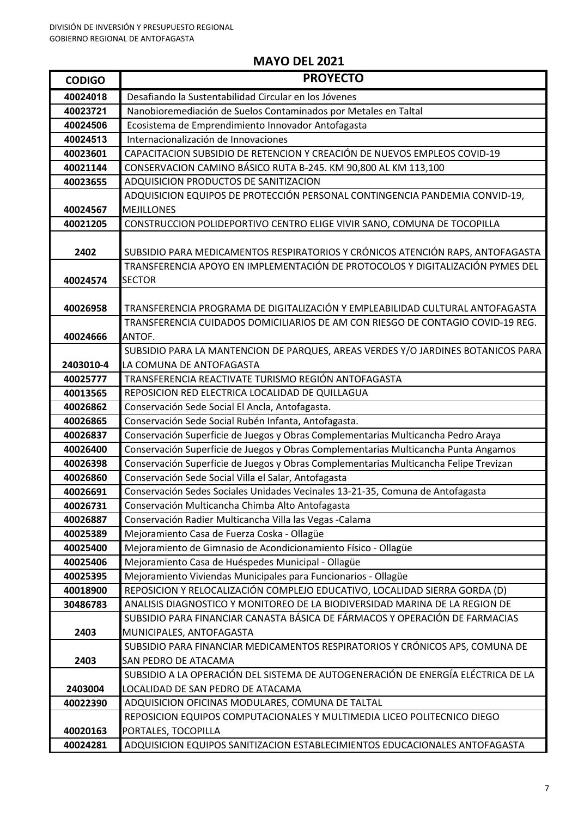| <b>CODIGO</b>        | <b>PROYECTO</b>                                                                                                                        |
|----------------------|----------------------------------------------------------------------------------------------------------------------------------------|
| 40024018             | Desafiando la Sustentabilidad Circular en los Jóvenes                                                                                  |
| 40023721             | Nanobioremediación de Suelos Contaminados por Metales en Taltal                                                                        |
| 40024506             | Ecosistema de Emprendimiento Innovador Antofagasta                                                                                     |
| 40024513             | Internacionalización de Innovaciones                                                                                                   |
| 40023601             | CAPACITACION SUBSIDIO DE RETENCION Y CREACIÓN DE NUEVOS EMPLEOS COVID-19                                                               |
| 40021144             | CONSERVACION CAMINO BÁSICO RUTA B-245. KM 90,800 AL KM 113,100                                                                         |
| 40023655             | ADQUISICION PRODUCTOS DE SANITIZACION                                                                                                  |
|                      | ADQUISICION EQUIPOS DE PROTECCIÓN PERSONAL CONTINGENCIA PANDEMIA CONVID-19,                                                            |
| 40024567             | <b>MEJILLONES</b>                                                                                                                      |
| 40021205             | CONSTRUCCION POLIDEPORTIVO CENTRO ELIGE VIVIR SANO, COMUNA DE TOCOPILLA                                                                |
|                      |                                                                                                                                        |
| 2402                 | SUBSIDIO PARA MEDICAMENTOS RESPIRATORIOS Y CRÓNICOS ATENCIÓN RAPS, ANTOFAGASTA                                                         |
|                      | TRANSFERENCIA APOYO EN IMPLEMENTACIÓN DE PROTOCOLOS Y DIGITALIZACIÓN PYMES DEL                                                         |
| 40024574             | <b>SECTOR</b>                                                                                                                          |
|                      |                                                                                                                                        |
| 40026958             | TRANSFERENCIA PROGRAMA DE DIGITALIZACIÓN Y EMPLEABILIDAD CULTURAL ANTOFAGASTA                                                          |
|                      | TRANSFERENCIA CUIDADOS DOMICILIARIOS DE AM CON RIESGO DE CONTAGIO COVID-19 REG.                                                        |
| 40024666             | ANTOF.                                                                                                                                 |
|                      | SUBSIDIO PARA LA MANTENCION DE PARQUES, AREAS VERDES Y/O JARDINES BOTANICOS PARA                                                       |
| 2403010-4            | LA COMUNA DE ANTOFAGASTA                                                                                                               |
| 40025777             | TRANSFERENCIA REACTIVATE TURISMO REGIÓN ANTOFAGASTA                                                                                    |
| 40013565             | REPOSICION RED ELECTRICA LOCALIDAD DE QUILLAGUA                                                                                        |
| 40026862             | Conservación Sede Social El Ancla, Antofagasta.                                                                                        |
| 40026865             | Conservación Sede Social Rubén Infanta, Antofagasta.                                                                                   |
| 40026837             | Conservación Superficie de Juegos y Obras Complementarias Multicancha Pedro Araya                                                      |
| 40026400<br>40026398 | Conservación Superficie de Juegos y Obras Complementarias Multicancha Punta Angamos                                                    |
| 40026860             | Conservación Superficie de Juegos y Obras Complementarias Multicancha Felipe Trevizan                                                  |
| 40026691             | Conservación Sede Social Villa el Salar, Antofagasta<br>Conservación Sedes Sociales Unidades Vecinales 13-21-35, Comuna de Antofagasta |
| 40026731             | Conservación Multicancha Chimba Alto Antofagasta                                                                                       |
| 40026887             | Conservación Radier Multicancha Villa las Vegas -Calama                                                                                |
| 40025389             | Mejoramiento Casa de Fuerza Coska - Ollagüe                                                                                            |
| 40025400             | Mejoramiento de Gimnasio de Acondicionamiento Físico - Ollagüe                                                                         |
| 40025406             | Mejoramiento Casa de Huéspedes Municipal - Ollagüe                                                                                     |
| 40025395             | Mejoramiento Viviendas Municipales para Funcionarios - Ollagüe                                                                         |
| 40018900             | REPOSICION Y RELOCALIZACIÓN COMPLEJO EDUCATIVO, LOCALIDAD SIERRA GORDA (D)                                                             |
| 30486783             | ANALISIS DIAGNOSTICO Y MONITOREO DE LA BIODIVERSIDAD MARINA DE LA REGION DE                                                            |
|                      | SUBSIDIO PARA FINANCIAR CANASTA BÁSICA DE FÁRMACOS Y OPERACIÓN DE FARMACIAS                                                            |
| 2403                 | MUNICIPALES, ANTOFAGASTA                                                                                                               |
|                      | SUBSIDIO PARA FINANCIAR MEDICAMENTOS RESPIRATORIOS Y CRÓNICOS APS, COMUNA DE                                                           |
| 2403                 | <b>SAN PEDRO DE ATACAMA</b>                                                                                                            |
|                      | SUBSIDIO A LA OPERACIÓN DEL SISTEMA DE AUTOGENERACIÓN DE ENERGÍA ELÉCTRICA DE LA                                                       |
| 2403004              | LOCALIDAD DE SAN PEDRO DE ATACAMA                                                                                                      |
| 40022390             | ADQUISICION OFICINAS MODULARES, COMUNA DE TALTAL                                                                                       |
|                      | REPOSICION EQUIPOS COMPUTACIONALES Y MULTIMEDIA LICEO POLITECNICO DIEGO                                                                |
| 40020163             | PORTALES, TOCOPILLA                                                                                                                    |
| 40024281             | ADQUISICION EQUIPOS SANITIZACION ESTABLECIMIENTOS EDUCACIONALES ANTOFAGASTA                                                            |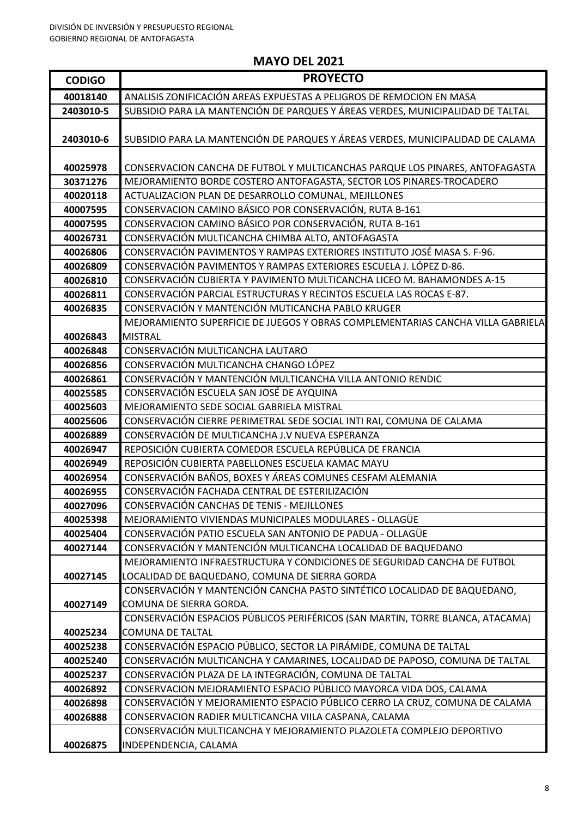| <b>CODIGO</b> | <b>PROYECTO</b>                                                                 |
|---------------|---------------------------------------------------------------------------------|
| 40018140      | ANALISIS ZONIFICACIÓN AREAS EXPUESTAS A PELIGROS DE REMOCION EN MASA            |
| 2403010-5     | SUBSIDIO PARA LA MANTENCIÓN DE PARQUES Y ÁREAS VERDES, MUNICIPALIDAD DE TALTAL  |
| 2403010-6     | SUBSIDIO PARA LA MANTENCIÓN DE PARQUES Y ÁREAS VERDES, MUNICIPALIDAD DE CALAMA  |
| 40025978      | CONSERVACION CANCHA DE FUTBOL Y MULTICANCHAS PARQUE LOS PINARES, ANTOFAGASTA    |
| 30371276      | MEJORAMIENTO BORDE COSTERO ANTOFAGASTA, SECTOR LOS PINARES-TROCADERO            |
| 40020118      | ACTUALIZACION PLAN DE DESARROLLO COMUNAL, MEJILLONES                            |
| 40007595      | CONSERVACION CAMINO BÁSICO POR CONSERVACIÓN, RUTA B-161                         |
| 40007595      | CONSERVACION CAMINO BÁSICO POR CONSERVACIÓN, RUTA B-161                         |
| 40026731      | CONSERVACIÓN MULTICANCHA CHIMBA ALTO, ANTOFAGASTA                               |
| 40026806      | CONSERVACIÓN PAVIMENTOS Y RAMPAS EXTERIORES INSTITUTO JOSÉ MASA S. F-96.        |
| 40026809      | CONSERVACIÓN PAVIMENTOS Y RAMPAS EXTERIORES ESCUELA J. LÓPEZ D-86.              |
| 40026810      | CONSERVACIÓN CUBIERTA Y PAVIMENTO MULTICANCHA LICEO M. BAHAMONDES A-15          |
| 40026811      | CONSERVACIÓN PARCIAL ESTRUCTURAS Y RECINTOS ESCUELA LAS ROCAS E-87.             |
| 40026835      | CONSERVACIÓN Y MANTENCIÓN MUTICANCHA PABLO KRUGER                               |
|               | MEJORAMIENTO SUPERFICIE DE JUEGOS Y OBRAS COMPLEMENTARIAS CANCHA VILLA GABRIELA |
| 40026843      | <b>MISTRAL</b>                                                                  |
| 40026848      | CONSERVACIÓN MULTICANCHA LAUTARO                                                |
| 40026856      | CONSERVACIÓN MULTICANCHA CHANGO LÓPEZ                                           |
| 40026861      | CONSERVACIÓN Y MANTENCIÓN MULTICANCHA VILLA ANTONIO RENDIC                      |
| 40025585      | CONSERVACIÓN ESCUELA SAN JOSÉ DE AYQUINA                                        |
| 40025603      | MEJORAMIENTO SEDE SOCIAL GABRIELA MISTRAL                                       |
| 40025606      | CONSERVACIÓN CIERRE PERIMETRAL SEDE SOCIAL INTI RAI, COMUNA DE CALAMA           |
| 40026889      | CONSERVACIÓN DE MULTICANCHA J.V NUEVA ESPERANZA                                 |
| 40026947      | REPOSICIÓN CUBIERTA COMEDOR ESCUELA REPÚBLICA DE FRANCIA                        |
| 40026949      | REPOSICIÓN CUBIERTA PABELLONES ESCUELA KAMAC MAYU                               |
| 40026954      | CONSERVACIÓN BAÑOS, BOXES Y ÁREAS COMUNES CESFAM ALEMANIA                       |
| 40026955      | CONSERVACIÓN FACHADA CENTRAL DE ESTERILIZACIÓN                                  |
| 40027096      | CONSERVACIÓN CANCHAS DE TENIS - MEJILLONES                                      |
| 40025398      | MEJORAMIENTO VIVIENDAS MUNICIPALES MODULARES - OLLAGÜE                          |
| 40025404      | CONSERVACIÓN PATIO ESCUELA SAN ANTONIO DE PADUA - OLLAGÜE                       |
| 40027144      | CONSERVACIÓN Y MANTENCIÓN MULTICANCHA LOCALIDAD DE BAQUEDANO                    |
|               | MEJORAMIENTO INFRAESTRUCTURA Y CONDICIONES DE SEGURIDAD CANCHA DE FUTBOL        |
| 40027145      | LOCALIDAD DE BAQUEDANO, COMUNA DE SIERRA GORDA                                  |
|               | CONSERVACIÓN Y MANTENCIÓN CANCHA PASTO SINTÉTICO LOCALIDAD DE BAQUEDANO,        |
| 40027149      | COMUNA DE SIERRA GORDA.                                                         |
|               | CONSERVACIÓN ESPACIOS PÚBLICOS PERIFÉRICOS (SAN MARTIN, TORRE BLANCA, ATACAMA)  |
| 40025234      | <b>COMUNA DE TALTAL</b>                                                         |
| 40025238      | CONSERVACIÓN ESPACIO PÚBLICO, SECTOR LA PIRÁMIDE, COMUNA DE TALTAL              |
| 40025240      | CONSERVACIÓN MULTICANCHA Y CAMARINES, LOCALIDAD DE PAPOSO, COMUNA DE TALTAL     |
| 40025237      | CONSERVACIÓN PLAZA DE LA INTEGRACIÓN, COMUNA DE TALTAL                          |
| 40026892      | CONSERVACION MEJORAMIENTO ESPACIO PÚBLICO MAYORCA VIDA DOS, CALAMA              |
| 40026898      | CONSERVACIÓN Y MEJORAMIENTO ESPACIO PÚBLICO CERRO LA CRUZ, COMUNA DE CALAMA     |
| 40026888      | CONSERVACION RADIER MULTICANCHA VIILA CASPANA, CALAMA                           |
|               | CONSERVACIÓN MULTICANCHA Y MEJORAMIENTO PLAZOLETA COMPLEJO DEPORTIVO            |
| 40026875      | INDEPENDENCIA, CALAMA                                                           |